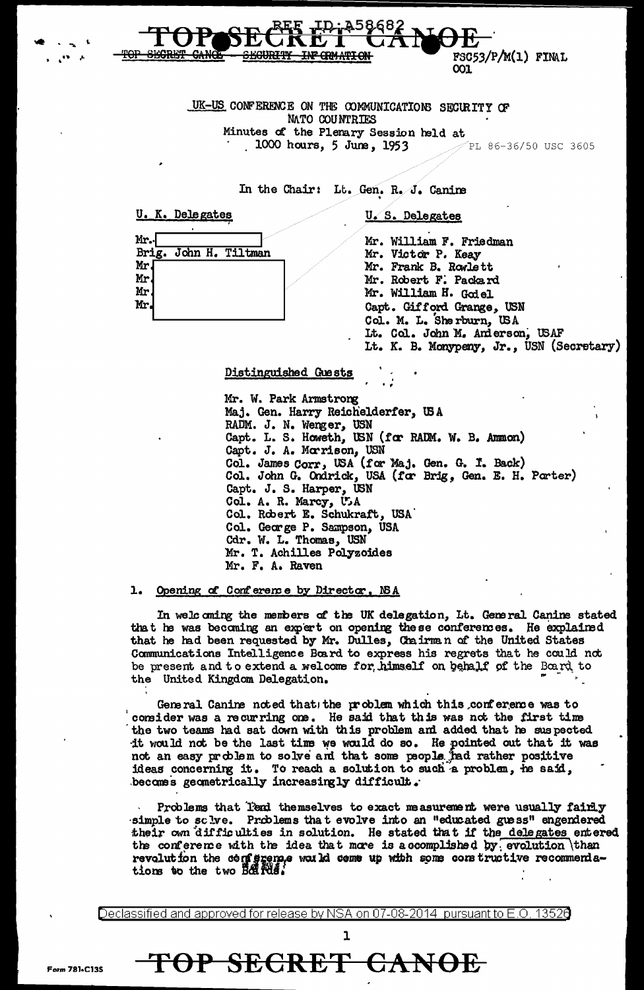FSC53/P/M(1) FINAL 001

UK-US CONFERENCE ON THE COMMUNICATIONS SECURITY OF **NATO COUNTRIES** Minutes of the Plenary Session held at 1000 hours, 5 June, 1953  $\mathscr{P}$ PL 86-36/50 USC 3605

:45868

In the Chair: Lt. Gen. R. J. Canine

U. K. Delegates

U.S. Delegates

| Mr.       |                       |  |
|-----------|-----------------------|--|
|           | Brig. John H. Tiltman |  |
| Mr.       |                       |  |
| Mr.<br>Mr |                       |  |
|           |                       |  |
| Mr.       |                       |  |
|           |                       |  |

Mr. William F. Friedman Mr. Victor P. Keay Mr. Frank B. Rowlett Mr. Robert F. Packard Mr. William H. Godel Capt. Gifford Grange, USN Col. M. L. Sherburn, USA Lt. Col. John M. Anderson, USAF Lt. K. B. Monypeny, Jr., USN (Secretary)

Distinguished Guests

Mr. W. Park Armstrong Maj. Gen. Harry Reichelderfer, USA RADM. J. N. Wenger, USN Capt. L. S. Howeth, USN (for RADM. W. B. Ammon) Capt. J. A. Morrison, USN<br>Col. James Corr, USA (for Maj. Gen. G. I. Back)<br>Col. John G. Ondrick, USA (for Brig, Gen. E. H. Porter) Capt. J. S. Harper, USN Col. A. R. Marcy, U.A. Col. Robert E. Schukraft, USA Col. George P. Sampson, USA Cdr. W. L. Thomas, USN Mr. T. Achilles Polyzoides Mr. F. A. Raven

1. Opening of Conference by Director, NSA

In welcoming the members of the UK delegation, Lt. General Canine stated that he was becoming an expert on opening these conferences. He explained that he had been requested by Mr. Dulles, Chairman of the United States Communications Intelligence Board to express his regrets that he could not be present and to extend a welcome for himself on behalf of the Board to the United Kingdom Delegation.

General Canine noted that the problem which this conference was to consider was a recurring one. He said that this was not the first time the two teams had sat down with this problem and added that he suspected it would not be the last time we would do so. He pointed out that it was not an easy problem to solve and that some people had rather positive ideas concerning it. To reach a solution to such a problem, he said, becomes geometrically increasingly difficult.

Problems that Tend themselves to exact measurement were usually fairly simple to sclve. Problems that evolve into an "educated guess" engendered their own difficulties in solution. He stated that if the delegates entered the conference with the idea that more is accomplished by evolution \than revolution the centerence was ld come up with some constructive recommenda-<br>tions to the two Boards.

<u>Declassified and approved for release by NSA on 07-08-2014 pursuant to E.O. 13526</u>

TOP SECRET CANOE

 $\mathbf{1}$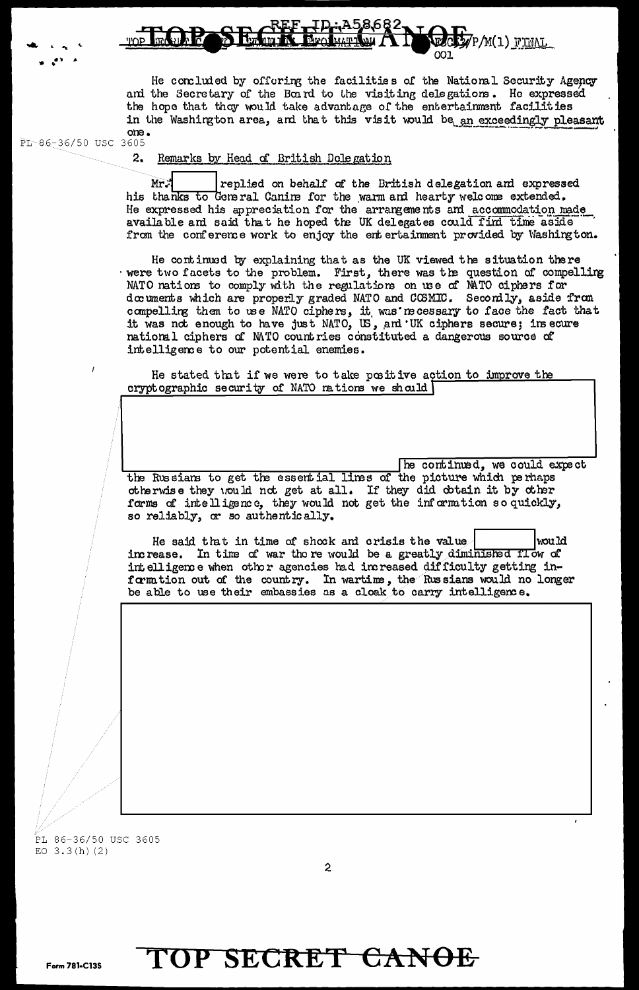## I**D:A58682** P/M(1) FINAL

He concluded by offering the facilities of the National Security Agency and the Secretary of the Board to the visiting delegations. He expressed the hope that they would take advantage of the entertainment facilities in the Washington area, and that this visit would be an exceedingly pleasant one.

PL-86-36/50 USC 3605

 $2.$ Remarks by Head of British Dolegation

replied on behalf of the British delegation and expressed Mr. his thanks to General Canine for the warm and hearty welcome extended. He expressed his appreciation for the arrangements and accommodation made available and said that he hoped the UK delegates could find time aside from the conference work to enjoy the entertainment provided by Washington.

He continued by explaining that as the UK viewed the situation there were two facets to the problem. First, there was the question of compelling NATO nations to comply with the regulations on use of NATO ciphers for documents which are properly graded NATO and COSMIC. Seconily, aside from compelling them to use NATO ciphers, it was necessary to face the fact that it was not enough to have just NATO, US, and UK ciphers secure; insecure national ciphers of MTO countries constituted a dangerous source of intelligence to our potential enemies.

He stated that if we were to take positive action to improve the cryptographic security of NATO nations we should

he continued, we could expect the Russians to get the essential lines of the picture which perhaps otherwise they would not get at all. If they did obtain it by other forms of intelligence, they would not get the information so quickly, so reliably, or so authentically.

He said that in time of shock and crisis the value would increase. In time of war there would be a greatly diminished flow of intelligence when other agencies had increased difficulty getting inform tion out of the country. In wartime, the Russians would no longer be able to use their embassies as a cloak to carry intelligence.

PL 86-36/50 USC 3605 EO  $3.3(h)$  (2)

# TOP SECRET CANOE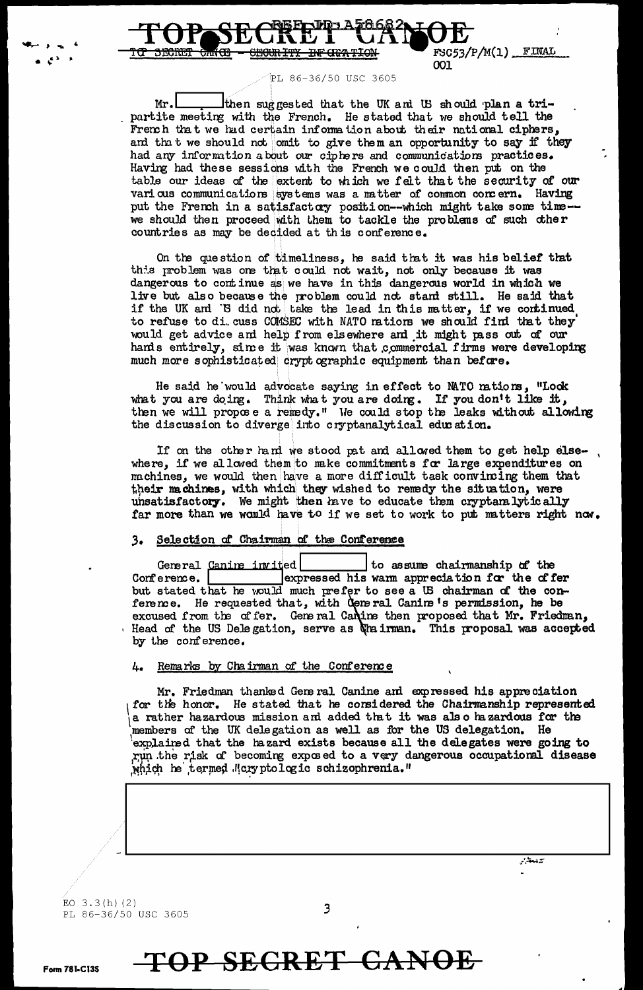

PL 86-36/50 USC 3605

001

 $Mr.$ Ithen suggested that the UK and US should plan a tripartite meeting with the French. He stated that we should tell the French that we had certain information about their national ciphers, and that we should not omit to give them an opportunity to say if they had any information about our ciphers and communications practices. Having had these sessions with the French we could then put on the table our ideas of the extent to which we felt that the security of our various communications systems was a matter of common concern. Having put the French in a satisfactory position--which might take some time-we should then proceed with them to tackle the problems of such other countries as may be decided at this conference.

On the question of timeliness, he said that it was his belief that this problem was one that could not wait, not only because it was dangerous to continue as we have in this dangerous world in which we live but also because the problem could not stand still. He said that if the UK and 'B did not take the lead in this matter, if we continued to refuse to di cuss COMSEC with NATO nations we should find that they would get advice and help from elsewhere and it might pass out of our hands entirely, since it was known that commercial firms were developing much more sophisticated crypt ographic equipment than before.

He said he would advocate saying in effect to MATO mations, "Lock what you are doing. Think what you are doing. If you don't like it, then we will propose a remedy." We could stop the leaks without allowing the discussion to diverge into cryptanalytical education.

If on the other hand we stood pat and allowed them to get help elsewhere, if we allowed them to make commitments for large expenditures on machines, we would then have a more difficult task convincing them that their machines, with which they wished to remedy the situation, were unsatisfactory. We might then have to educate them cryptanalytically far more than we would have to if we set to work to put matters right now.

### 3. Selection of Chairman of the Conference

General Canine invited to assume chairmanship of the expressed his warm appreciation for the offer Conference. | but stated that he would much prefer to see a US chairman of the conference. He requested that, with Ceneral Canine's permission, he be excused from the offer. General Canine then proposed that Mr. Friedman, Head of the US Delegation, serve as the irman. This proposal was accepted by the conference.

#### Remarks by Chairman of the Conference 4.

Mr. Friedman thanked General Canine and expressed his appreciation for the honor. He stated that he considered the Chairmanship represented a rather hazardous mission and added that it was also hazardous for the members of the UK delegation as well as for the US delegation. He explained that the hazard exists because all the delegates were going to run the risk of becoming exposed to a very dangerous occupational disease which he termed Mcryptologic schizophrenia."

فيتعدر

EO  $3.3(h)(2)$ PL 86-36/50 USC 3605

# TOP SECRET CANOE